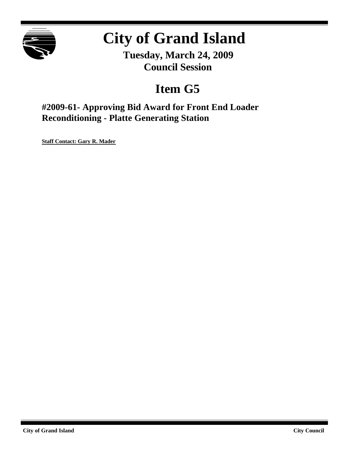

# **City of Grand Island**

**Tuesday, March 24, 2009 Council Session**

## **Item G5**

**#2009-61- Approving Bid Award for Front End Loader Reconditioning - Platte Generating Station**

**Staff Contact: Gary R. Mader**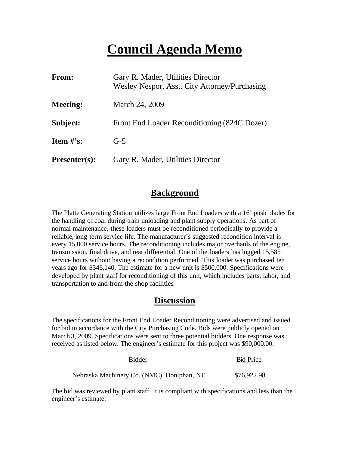## **Council Agenda Memo**

| <b>From:</b>         | Gary R. Mader, Utilities Director<br>Wesley Nespor, Asst. City Attorney/Purchasing |
|----------------------|------------------------------------------------------------------------------------|
| <b>Meeting:</b>      | March 24, 2009                                                                     |
| Subject:             | Front End Loader Reconditioning (824C Dozer)                                       |
| Item $\#$ 's:        | $G-5$                                                                              |
| <b>Presenter(s):</b> | Gary R. Mader, Utilities Director                                                  |

## **Background**

The Platte Generating Station utilizes large Front End Loaders with a 16' push blades for the handling of coal during train unloading and plant supply operations. As part of normal maintenance, these loaders must be reconditioned periodically to provide a reliable, long term service life. The manufacturer's suggested recondition interval is every 15,000 service hours. The reconditioning includes major overhauls of the engine, transmission, final drive, and rear differential. One of the loaders has logged 15,585 service hours without having a recondition performed. This loader was purchased ten years ago for \$346,140. The estimate for a new unit is \$500,000. Specifications were developed by plant staff for reconditioning of this unit, which includes parts, labor, and transportation to and from the shop facilities.

#### **Discussion**

The specifications for the Front End Loader Reconditioning were advertised and issued for bid in accordance with the City Purchasing Code. Bids were publicly opened on March 3, 2009. Specifications were sent to three potential bidders. One response was received as listed below. The engineer's estimate for this project was \$90,000.00.

| Bidder                                     | <b>Bid Price</b> |
|--------------------------------------------|------------------|
| Nebraska Machinery Co. (NMC), Doniphan, NE | \$76,922.98      |

The bid was reviewed by plant staff. It is compliant with specifications and less than the engineer's estimate.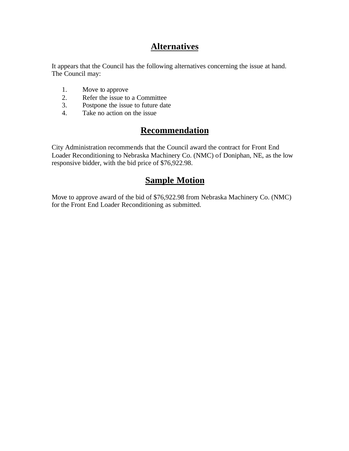## **Alternatives**

It appears that the Council has the following alternatives concerning the issue at hand. The Council may:

- 1. Move to approve
- 2. Refer the issue to a Committee<br>3. Postpone the issue to future date
- Postpone the issue to future date
- 4. Take no action on the issue

## **Recommendation**

City Administration recommends that the Council award the contract for Front End Loader Reconditioning to Nebraska Machinery Co. (NMC) of Doniphan, NE, as the low responsive bidder, with the bid price of \$76,922.98.

### **Sample Motion**

Move to approve award of the bid of \$76,922.98 from Nebraska Machinery Co. (NMC) for the Front End Loader Reconditioning as submitted.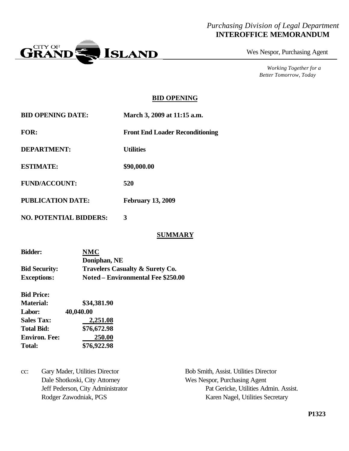### *Purchasing Division of Legal Department* **INTEROFFICE MEMORANDUM**



Wes Nespor, Purchasing Agent

*Working Together for a Better Tomorrow, Today*

#### **BID OPENING**

| <b>BID OPENING DATE:</b>      | March 3, 2009 at 11:15 a.m.            |  |  |
|-------------------------------|----------------------------------------|--|--|
| <b>FOR:</b>                   | <b>Front End Loader Reconditioning</b> |  |  |
| <b>DEPARTMENT:</b>            | <b>Utilities</b>                       |  |  |
| <b>ESTIMATE:</b>              | \$90,000.00                            |  |  |
| <b>FUND/ACCOUNT:</b>          | 520                                    |  |  |
| <b>PUBLICATION DATE:</b>      | <b>February 13, 2009</b>               |  |  |
| <b>NO. POTENTIAL BIDDERS:</b> | 3                                      |  |  |

#### **SUMMARY**

| <b>Bidder:</b>       | <b>NMC</b>                                 |
|----------------------|--------------------------------------------|
|                      | Doniphan, NE                               |
| <b>Bid Security:</b> | <b>Travelers Casualty &amp; Surety Co.</b> |
| <b>Exceptions:</b>   | Noted – Environmental Fee \$250.00         |

| <b>Bid Price:</b>    |             |  |
|----------------------|-------------|--|
| <b>Material:</b>     | \$34,381.90 |  |
| Labor:               | 40,040.00   |  |
| <b>Sales Tax:</b>    | 2,251.08    |  |
| <b>Total Bid:</b>    | \$76,672.98 |  |
| <b>Environ. Fee:</b> | 250.00      |  |
| <b>Total:</b>        | \$76,922.98 |  |

cc: Gary Mader, Utilities Director Bob Smith, Assist. Utilities Director Dale Shotkoski, City Attorney Wes Nespor, Purchasing Agent

Jeff Pederson, City Administrator Pat Gericke, Utilities Admin. Assist. Rodger Zawodniak, PGS Karen Nagel, Utilities Secretary